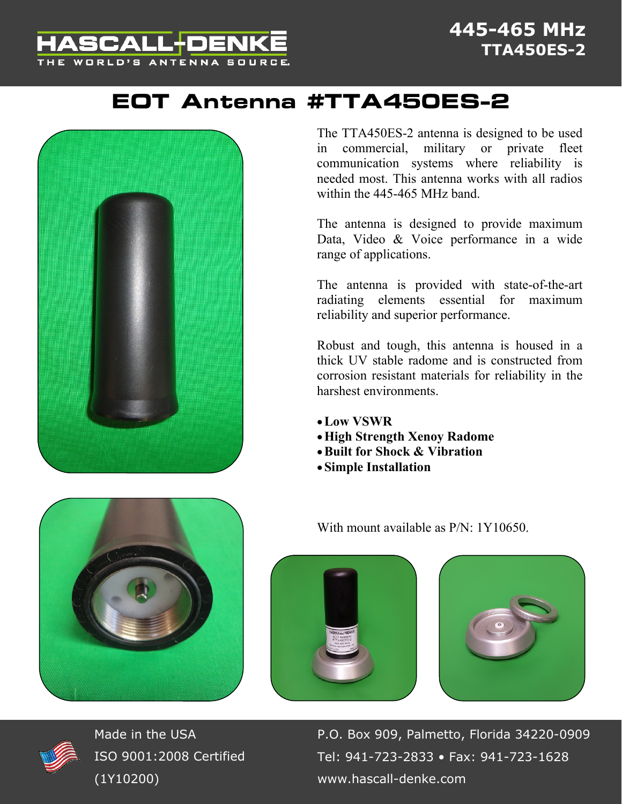## ASCALL+DEN THE WORLD'S ANTENNA SOURCE.

## **EOT Antenna #TTA450ES-2**





The antenna is designed to provide maximum Data, Video & Voice performance in a wide range of applications.

The antenna is provided with state-of-the-art radiating elements essential for maximum reliability and superior performance.

Robust and tough, this antenna is housed in a thick UV stable radome and is constructed from corrosion resistant materials for reliability in the harshest environments.

- **Low VSWR**
- **High Strength Xenoy Radome**
- **Built for Shock & Vibration**
- **Simple Installation**

With mount available as  $P/N \cdot 1Y10650$ .







Made in the USA ISO 9001:2008 Certified (1Y10200)

P.O. Box 909, Palmetto, Florida 34220-0909 Tel: 941-723-2833 • Fax: 941-723-1628 www.hascall-denke.com